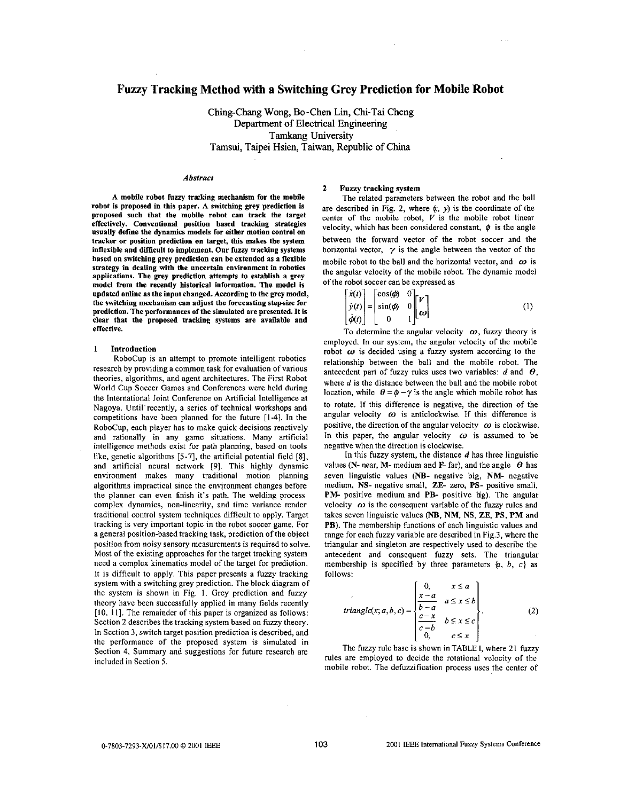# **Fuzzy Tracking Method with a Switching Grey Prediction for Mobile Robot**

Ching-Chang Wong, Bo-Chen Lin, Chi-Tai Cheng Department of Electrical Engineering Tamkang University Tamsui, Taipei Hsien, Taiwan, Republic of China

### *Abstrnct*

A mobile robot fuzzy tracking mechanism for the mobile robot is proposed in this paper. A switching grey prediction is proposed such that the mobile robot can track the target effcctively. Conventional position hased tracking strategies usually define the dynamics models for either motion control on tracker **or** position prediction on target, this makes the system inflexible and difficult to implement. Our fuzzy tracking systems hased **ou** switching grey prediction can be extended as a flexible strategy in dealing with the uncertain environment in robotics applications. The grey prediction attempts to establish a grey model from the recently historical information. The model is updated online as the input changed. According to the grey model, the switching mechanism can adjust the forecasting stepsize for prediction. The performances of the simulated are presented. It is clear that the proposed tracking systems arc available and effective.

#### **1** Introduction

RoboCup is an attempt to promote intelligent robotics research by providing a common task for evaluation of various theories, algorithms, and agent architectures. The First Robot World Cup Soccer Games and Conferences were held during the International Joint Conference on Artificial Intelligence at Nagoya. Until recently, a series of technical workshops and competitions have been planned for the future [1-4]. In the RoboCup, each player has to make quick decisions reactively and rationally in any game situations. Many artificial intelligence methods exist for path planning, based on tools like, genetic algorithms **[5-71,** the artificial potential field **[SI,**  and artificial neural network **[9].** This highly dynamic environment makes many traditional motion planning algorithms impractical since the environment changes before the planner can even finish it's path. The welding process complex dynamics, non-linearity, and time variance render traditional control system techniques difficult to apply. Target tracking is very important topic in the robot soccer game. For a general position-based tracking task, prediction of the object position from noisy sensory measurements is required to solve. Most of the existing approaches for the target tracking system need a complcx kinematics model of the target for prediction. It is difficult to apply. This paper presents a fuzzy tracking system with a switching grey prediction. The block diagram of the system is shown in Fig. 1. Grey prediction and fuzzy theory have been successfully applied in many fields recently [10, 11]. The remainder of this paper is organized as follows: Section 2 describes the tracking system based on fuzzy theory. In Section 3, switch target position prediction is described, and the performance of the proposed system is simulated in Section 4, Summary and suggestions for future research are included in Section *5.* 

# 2 **Fuzzy** tracking system

The related parameters between the robot and the ball are described in Fig. 2, where  $(x, y)$  is the coordinate of the center of the mobile robot,  $V$  is the mobile robot linear velocity, which has been considered constant,  $\phi$  is the angle between the forward vector of the robot soccer and the horizontal vector,  $\gamma$  is the angle between the vector of the mobile robot to the ball and the horizontal vector, and  $\omega$  is the angular velocity of the mobile robot. The dynamic model of the robot soccer can be exoressed as

$$
\begin{bmatrix} \dot{x}(t) \\ \dot{y}(t) \\ \dot{\phi}(t) \end{bmatrix} = \begin{bmatrix} \cos(\phi) & 0 \\ \sin(\phi) & 0 \\ 0 & 1 \end{bmatrix} \begin{bmatrix} V \\ \omega \end{bmatrix}
$$
 (1)

To determine the angular velocity  $\omega$ , fuzzy theory is employed. In our system, the angular velocity of the mobile robot  $\omega$  is decided using a fuzzy system according to the relationship between the ball and the mobile robot. The antecedent part of fuzzy rules uses two variables:  $d$  and  $\theta$ . where  $d$  is the distance between the ball and the mobile robot location, while  $\theta = \phi - \gamma$  is the angle which mobile robot has to rotate. If this difference is negative, the direction of the angular velocity  $\omega$  is anticlockwise. If this difference is positive, the direction of the angular velocity  $\omega$  is clockwise. In this paper, the angular velocity  $\omega$  is assumed to be negative when the direction is clockwise.

In this fuzzy system, the distance  $d$  has three linguistic values (N- near, M- medium and F- far), and the angle  $\theta$  has seven linguistic values (NB- negative big, NM- negative medium, NS- negative small, ZE- zero, PS- positive small, PM- positive medium and PB- positive tig). The angular velocity  $\omega$  is the consequent variable of the fuzzy rules and takes seven linguistic values (NB, NM, NS, ZE, PS, PM and PB). The membership functions of each linguistic values and range for each fuzzy variable are described in Fig.3, where the triangular and singleton are respectively used to describe the<br>antecedent and consequent fuzzy sets. The triangular<br>membership is specified by three parameters  $\{a, b, c\}$  as follows:

$$
triangle(x; a, b, c) = \begin{cases} 0, & x \le a \\ \frac{x-a}{b-a} & a \le x \le b \\ \frac{c-x}{c-b} & b \le x \le c \\ 0, & c \le x \end{cases}
$$
 (2)

The fuzzy rule base is shown in TABLE I, where 21 fuzzy rules are employed to decide the rotational velocity of the mobile robot. The defuzzification process uses the center of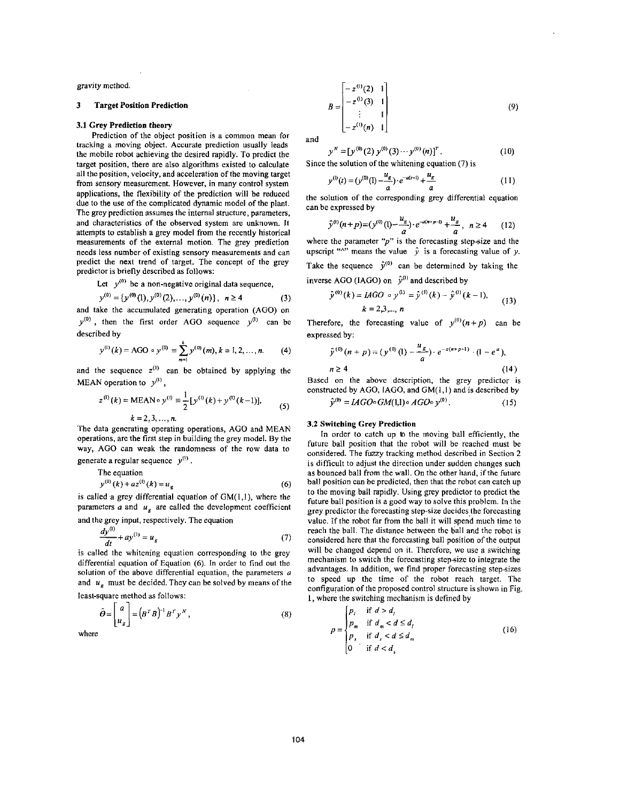gravity method.

#### 3 Target Position Prediction

## 3.1 Grey Prediction theory

Prediction of the object position is a common mean for tracking a moving object. Accurate prediction usually leads the mobile robot achieving the desired rapidly. To predict the target position, there are also algorithms existed to calculate all the position, velocity, and acceleration of the moving target from sensory measurement. However, in many control system applications, the flexibility of the prediction will he reduced due to the use of the complicated dynamic model of the plant. The grey prediction assumes the internal structure, parameters, and characteristics of the observed system are unknown. It attempts to establish a grey model from the recently historical measurements of the external motion. The grey prediction needs less number of existing sensory measurements and can predict the next trend of target. The concept of the grey predictor is briefly described as follows:

Let  $y^{(0)}$  be a non-negative original data sequence,

$$
y^{(0)} = {y^{(0)}(1), y^{(0)}(2), ..., y^{(0)}(n)}, \quad n \ge 4
$$
 (3)

and take the accumulated generating operation (AGO) on  $y^{(0)}$ , then the first order AGO sequence  $y^{(1)}$  can be described by

$$
y^{(1)}(k) = AGO \circ y^{(0)} \equiv \sum_{m=1}^{k} y^{(0)}(m), k = 1, 2, ..., n.
$$
 (4)

and the sequence  $z^{(1)}$  can be obtained by applying the MEAN operation to  $y^{(1)}$ ,

$$
z^{(1)}(k) = \text{MEAN} \circ y^{(1)} \equiv \frac{1}{2} [y^{(1)}(k) + y^{(1)}(k-1)],
$$
  
 
$$
k = 2, 3, ..., n.
$$
 (5)

The data gencrating operating operations, **AGO** and MEAN operations, are the first step in building the grey model. By the way, AGO can weak the randomness of the row data to

generate a regular sequence *y"'* .

The equation  $y^{(0)}(k) = x^{(0)}(k) = 0$ 

$$
y''(\kappa) + az''(\kappa) = u_g \tag{6}
$$

is called a grey differential equation of  $GM(1,1)$ , where the parameters  $a$  and  $u_g$  are called the development coefficient and the grey input, respectively. The equation

$$
\frac{dy^{(1)}}{dt} + ay^{(1)} = u_g \tag{7}
$$

is called the whitening equation corresponding to the grey differential equation of Equation (6). In order to find out the solution of the above differential equation, the parameters a and  $u<sub>g</sub>$  must be decided. They can be solved by means of the

least-square method as follows:

$$
\hat{\boldsymbol{\theta}} = \begin{bmatrix} a \\ u_g \end{bmatrix} = (\boldsymbol{B}^T \boldsymbol{B})^{-1} \boldsymbol{B}^T \boldsymbol{y}^N, \qquad (8)
$$

where

$$
B = \begin{bmatrix} -z^{(1)}(2) & 1 \\ -z^{(1)}(3) & 1 \\ \vdots & 1 \\ -z^{(1)}(n) & 1 \end{bmatrix}
$$
 (9)

and

$$
y'' = [y^{(0)}(2) y^{(0)}(3) \cdots y^{(0)}(n)]^T.
$$
  
Since the solution of the whitening equation (7) is

$$
y^{(0)}(t) = (y^{(0)}(1) - \frac{u_g}{a}) \cdot e^{-a(t-1)} + \frac{u_g}{a}
$$
 (11)

the solution of the corresponding grey differential equation can he expressed by

$$
\hat{y}^{(t)}(n+p)=(y^{(0)}(1)-\frac{u_g}{a})\cdot e^{-a(n+p-1)}+\frac{u_g}{a}, \quad n\geq 4 \qquad (12)
$$

where the parameter " $p$ " is the forecasting step-size and the upscript " $\wedge$ " means the value  $\hat{y}$  is a forecasting value of y. Take the sequence  $\hat{y}^{(0)}$  can be determined by taking the inverse AGO (IAGO) on  $\hat{v}^{(1)}$  and described by

$$
\hat{y}^{(0)}(k) = LAGO \circ y^{(0)} = \hat{y}^{(1)}(k) - \hat{y}^{(0)}(k-1),
$$
  
  $k = 2,3,..., n$  (13)

Therefore, the forecasting value of  $y^{(0)}(n+p)$  can be expressed by:

$$
\hat{y}^{(0)}(n+p) = (y^{(0)}(1) - \frac{u_g}{a}) \cdot e^{-a(s+p-1)} \cdot (1-e^a),
$$
  
 
$$
n \ge 4
$$
 (14)

*3'"* = *IAGO~GM(/I).AGO~y'o'.* **(15)**  Based on the above description, the grey predictor is constructed by **AGO,** IAGO, and GM(I,I) and is described by

$$
y^{\prime\prime} = I A G O^{\circ} G M(1,1)^{\circ} A G O^{\circ} y^{\prime\prime}.
$$
 (15)

# **3.2** Switching Grey Prediction

In order to catch up **lo** the moving ball efficiently, the future ball position that the robot will be reached must be considered. The fuzzy tracking method described in Section 2 is difficult to adjust the direction under sudden changes such as bounced ball from the wall. On the other hand, if the future ball position can be predicted, then that the robot can catch up to the moving ball rapidly. Using grey predictor to predict the future ball position is a good way to solve this problem. In the grey predictor the forecasting step-size decides the forecasting value. If the robot far from the ball it will spend much time to reach the ball. The distance between thc ball and the robot is considered here that the forecasting ball position of the output will be changed depend on it. Therefore, we use a switching mechanism to switch the forecasting stepsizc to integrate the advantages. In addition, we find proper forecasting step-sizes to speed up the time of the robot reach target. The configuration of the proposed control structure is shown in Fig. I, where the switching mechanism is defined by

$$
p = \begin{cases} p_i & \text{if } d > d_i \\ p_m & \text{if } d_m < d \le d_i \\ p_s & \text{if } d_s < d \le d_m \\ 0 & \text{if } d < d_s \end{cases}
$$
 (16)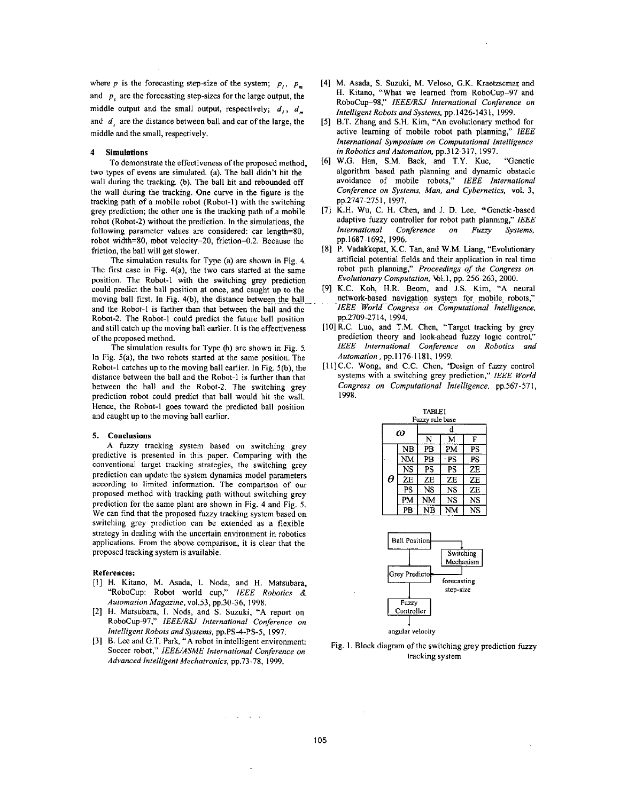where *p* is the forecasting step-size of the system;  $p_i$ ,  $p_m$ and *p,* are the forecasting step-sizes for the large output, the middle output and the small output, respectively;  $d_i$ ,  $d_m$ and *d,* are the distance between ball and car of the large, the middle and the small, respectively.

#### **4** Simulations

two types of evens are simulated. (a). The ball didn't hit the wall during the tracking. (b). The ball hit and rebounded off the wall during the tracking. One curve in the figure is the tracking path of a mobile robot (Robot-I) with the switching grey prediction; the other one is the tracking path of a mobile robot (Robot-2) without the prediction. In the simulations, the following parameter values are considered: car length=80, robot width=80, mbot velocity=20, friction=0.2. Because the friction, the hall will get slower. To demonstrate the effectiveness of the proposed method,

The simulation results for Type (a) are shown in [Fig.](#page-3-0) 4 The first case in Fig. 4(a), the two cars started at the same position. The Robot-I with the switching grey prediction could predict the ball position at once, and caught up to the moving ball first. In Fig. 4(b), the distance between the ball and the Robot-] is farther than that between the hall and thc Robot-2. The Robot-I could predict the future ball position and still catch up the moving ball earlier. It is the effectiveness of the proposed method.

The simulation results for Type @) are shown in Fig. *5*  In Fig. 5(a), the two robots started at the same position. The Robot-I catches up to the moving ball earlier. In Fig. 5(b), the distance between the ball and the Robot-1 is further than that between the ball and the Robot-2. The switching grey prediction robot could predict that hall would hit the wall. Hence, the Robot-I goes toward the predicted ball position and caught up to the moving hall earlicr.

### *5.* Conclusions

**A** fuzzy tracking system based on switching grey predictive is presented in this paper. Comparing with the conventional target tracking strategies, the switching grey prediction can update the system dynamics model parameters according to limited information. The comparison of our proposed method with tracking path without switching grey prediction for the same plant are shown in [Fig. 4](#page-3-0) and Fig. 5. We can find that the proposed fuzzy tracking system based on switching grey prediction can be extended as a flexible strategy in dcaling with the uncertain environment in robotics applications. From the above comparison, it is clear that the proposed tracking system is available.

#### References:

- [I] H. Kitano, M. Asada, 1. Noda, and H. Matsubara, "RoboCup: Robot world cup," *IEEE Robotics* & *Automation Magazine,* ~01.53, pp.30-36, *1998.*
- **[Z]** H. Matsubara, **1.** Nods, and *S.* Suzuki, **"A** report on RoboCup-P7i," *IEEE/RU International Conference on Intelligent Robots and Systems,* pp.PS-4-PS-5, 1997.
- [31 B. Lce and G.T. Park, **"A** robot in intclligent environment: Soccer robot," *IEEEIASME International Conference on Advanced Intelligent Mechatronics,* pp.73-78, 1999.
- [4] M. Asada, S. Suzuki, M. Veloso, G.K. Kraetzscmar and H. Kitano, "What we learned from RoboCup-97 and RoboCup-98:' *IEEE/RSJ International Conference on Intelligent Robots and Systems,* pp. 1426-143 1, 1999.
- *[5]* B.T. Zhang and S.H. Kim, "An evolutionary method for active learning of mobile robot path planning," *IEEE International Symposium on Computational Intelligence in Robotics andAutomation,* pp.312-317, 1997.
- [6] W.G. Han, S.M. Baek, and T.Y. Kuc, "Genetic algorithm based path planning and dynamic obstacle avoidance of mobile robots," *IEEE International Conference on Systems, Man, and Cybernetics,* vol. *3,*  pp.2747-2751, 1997.
- [7] K.H. Wu, C. H. Chen, and J. **D.** Lee, "Genetic-based adaptive fuzzy controller for robot path planning,'' *IEEE International Conference on Fuzzy Systems,*  pp. 1687-1692, 1996.
- *[8]* P. Vadakkepat, K.C. Tan, and W.M. Liang, "Evolutionary artificial potential fields and their application in real time robot path planning," *Proceedings of the Congress on Evolutionary Computation,* W.1, pp. 256-263, 2000.
- [9] K.C. Koh, H.R. Beom, and J.S. Kim, **"A** neural network-based navigation system for mobile robots," *~IEEE World Congress on Computational Intelligence,*  pp.2709-2714, 1994.
- [10] R.C. Luo, and T.M. Chen, "Target tracking by grey prediction theory and look-ahead fuzzy logic control," *IEEE International Conference on Robotics and Automation* , pp. I 176-1 181, 1999.
- [11] C.C. Wong, and C.C. Chen, 'Design of fuzzy control systems with a switching grey prediction," *IEEE World Congress on Compufafional Intelligence,* pp.567-571, 1998.

| TABLEI<br>Fuzzy rule base |           |     |           |           |
|---------------------------|-----------|-----|-----------|-----------|
| ω                         |           | d   |           |           |
|                           |           | N   | м         | F         |
|                           | <b>NB</b> | PB  | PM        | PS        |
|                           | NM        | PB  | - PS      | PS        |
|                           | <b>NS</b> | PS  | PS        | ZE        |
| θ                         | ZE        | ZE  | ZΕ        | ZE        |
|                           | PS        | NS. | <b>NS</b> | ZE        |
|                           | PM        | NM  | <b>NS</b> | <b>NS</b> |
|                           | PB        | NB  | NM        | NS        |



Fig. I. Block diagram of the switching grey prediction fuzzy tracking system